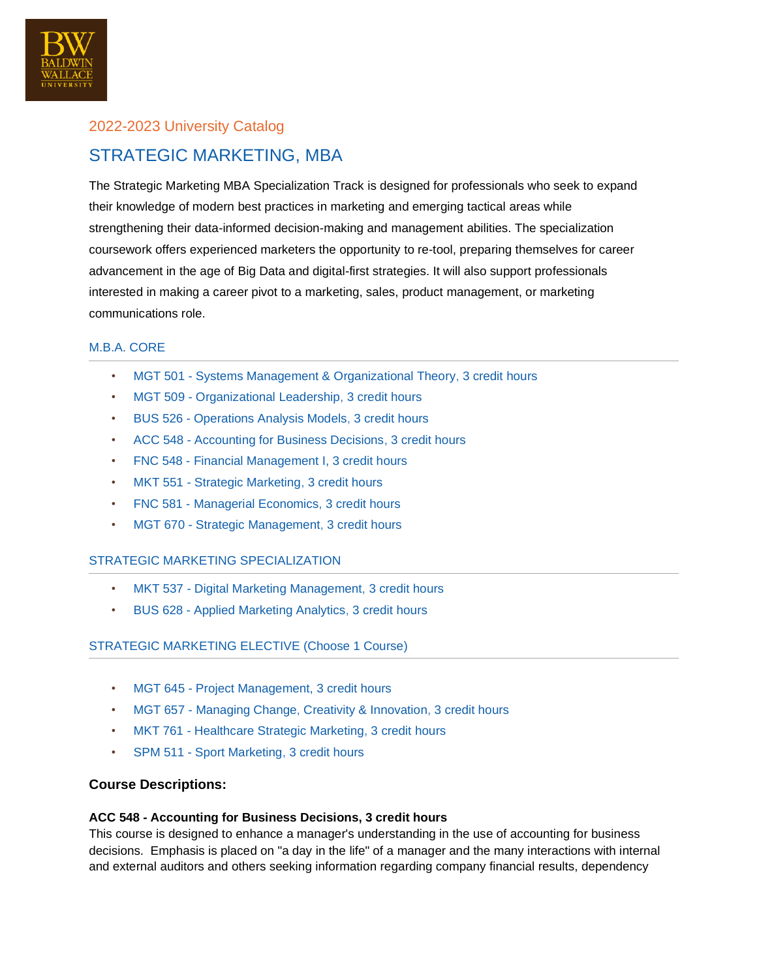

# 2022-2023 University Catalog STRATEGIC MARKETING, MBA

The Strategic Marketing MBA Specialization Track is designed for professionals who seek to expand their knowledge of modern best practices in marketing and emerging tactical areas while strengthening their data-informed decision-making and management abilities. The specialization coursework offers experienced marketers the opportunity to re-tool, preparing themselves for career advancement in the age of Big Data and digital-first strategies. It will also support professionals interested in making a career pivot to a marketing, sales, product management, or marketing communications role.

# M.B.A. CORE

- MGT 501 Systems Management & Organizational Theory, 3 credit hours
- MGT 509 Organizational Leadership, 3 credit hours
- BUS 526 Operations Analysis Models, 3 credit hours
- ACC 548 Accounting for Business Decisions, 3 credit hours
- FNC 548 Financial Management I, 3 credit hours
- MKT 551 Strategic Marketing, 3 credit hours
- FNC 581 Managerial Economics, 3 credit hours
- MGT 670 Strategic Management, 3 credit hours

# STRATEGIC MARKETING SPECIALIZATION

- MKT 537 Digital Marketing Management, 3 credit hours
- BUS 628 Applied Marketing Analytics, 3 credit hours

# STRATEGIC MARKETING ELECTIVE (Choose 1 Course)

- MGT 645 Project Management, 3 credit hours
- MGT 657 Managing Change, Creativity & Innovation, 3 credit hours
- MKT 761 Healthcare Strategic Marketing, 3 credit hours
- SPM 511 Sport Marketing, 3 credit hours

# **Course Descriptions:**

#### **ACC 548 - Accounting for Business Decisions, 3 credit hours**

This course is designed to enhance a manager's understanding in the use of accounting for business decisions. Emphasis is placed on "a day in the life" of a manager and the many interactions with internal and external auditors and others seeking information regarding company financial results, dependency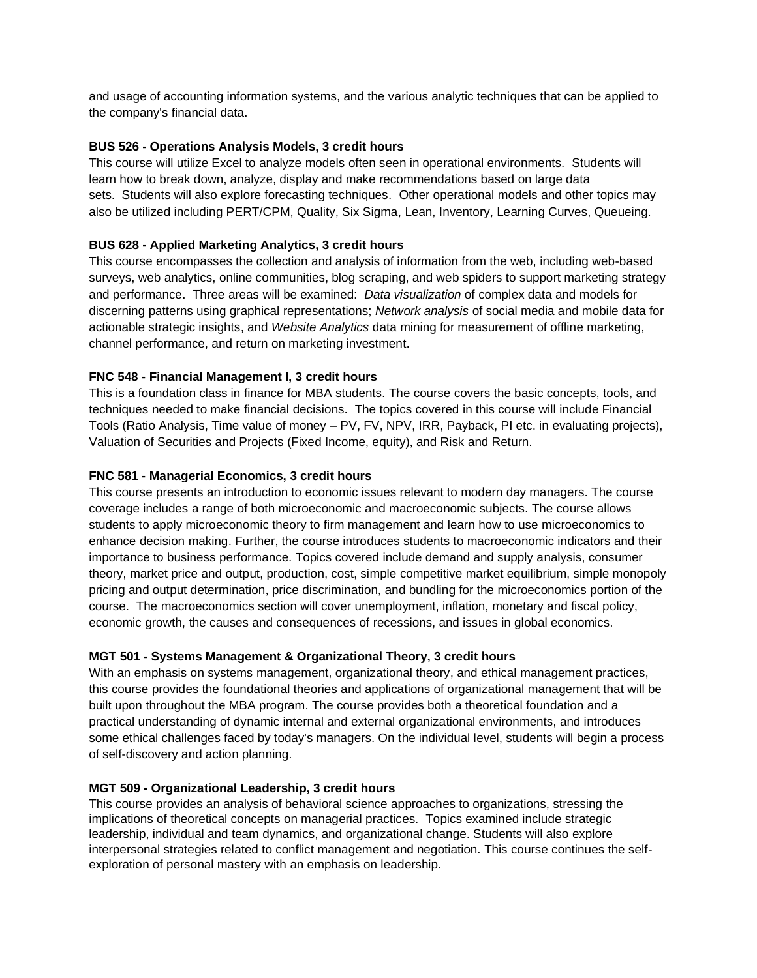and usage of accounting information systems, and the various analytic techniques that can be applied to the company's financial data.

## **BUS 526 - Operations Analysis Models, 3 credit hours**

This course will utilize Excel to analyze models often seen in operational environments. Students will learn how to break down, analyze, display and make recommendations based on large data sets. Students will also explore forecasting techniques. Other operational models and other topics may also be utilized including PERT/CPM, Quality, Six Sigma, Lean, Inventory, Learning Curves, Queueing.

## **BUS 628 - Applied Marketing Analytics, 3 credit hours**

This course encompasses the collection and analysis of information from the web, including web-based surveys, web analytics, online communities, blog scraping, and web spiders to support marketing strategy and performance. Three areas will be examined: *Data visualization* of complex data and models for discerning patterns using graphical representations; *Network analysis* of social media and mobile data for actionable strategic insights, and *Website Analytics* data mining for measurement of offline marketing, channel performance, and return on marketing investment.

## **FNC 548 - Financial Management I, 3 credit hours**

This is a foundation class in finance for MBA students. The course covers the basic concepts, tools, and techniques needed to make financial decisions. The topics covered in this course will include Financial Tools (Ratio Analysis, Time value of money – PV, FV, NPV, IRR, Payback, PI etc. in evaluating projects), Valuation of Securities and Projects (Fixed Income, equity), and Risk and Return.

## **FNC 581 - Managerial Economics, 3 credit hours**

This course presents an introduction to economic issues relevant to modern day managers. The course coverage includes a range of both microeconomic and macroeconomic subjects. The course allows students to apply microeconomic theory to firm management and learn how to use microeconomics to enhance decision making. Further, the course introduces students to macroeconomic indicators and their importance to business performance. Topics covered include demand and supply analysis, consumer theory, market price and output, production, cost, simple competitive market equilibrium, simple monopoly pricing and output determination, price discrimination, and bundling for the microeconomics portion of the course. The macroeconomics section will cover unemployment, inflation, monetary and fiscal policy, economic growth, the causes and consequences of recessions, and issues in global economics.

#### **MGT 501 - Systems Management & Organizational Theory, 3 credit hours**

With an emphasis on systems management, organizational theory, and ethical management practices, this course provides the foundational theories and applications of organizational management that will be built upon throughout the MBA program. The course provides both a theoretical foundation and a practical understanding of dynamic internal and external organizational environments, and introduces some ethical challenges faced by today's managers. On the individual level, students will begin a process of self-discovery and action planning.

#### **MGT 509 - Organizational Leadership, 3 credit hours**

This course provides an analysis of behavioral science approaches to organizations, stressing the implications of theoretical concepts on managerial practices. Topics examined include strategic leadership, individual and team dynamics, and organizational change. Students will also explore interpersonal strategies related to conflict management and negotiation. This course continues the selfexploration of personal mastery with an emphasis on leadership.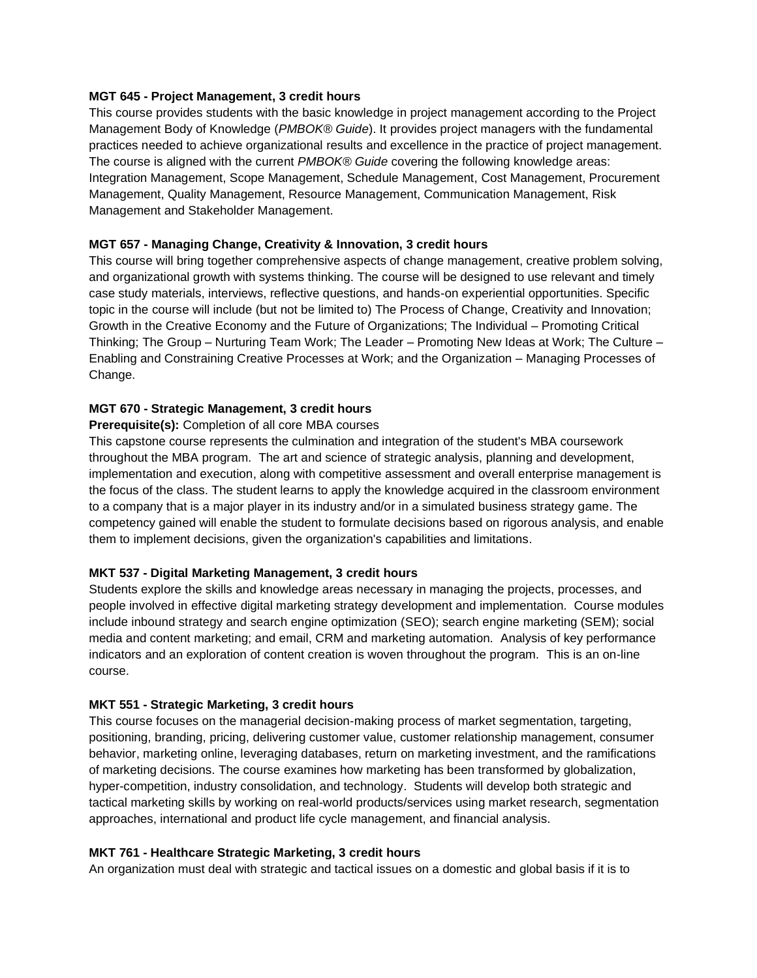#### **MGT 645 - Project Management, 3 credit hours**

This course provides students with the basic knowledge in project management according to the Project Management Body of Knowledge (*PMBOK® Guide*). It provides project managers with the fundamental practices needed to achieve organizational results and excellence in the practice of project management. The course is aligned with the current *PMBOK® Guide* covering the following knowledge areas: Integration Management, Scope Management, Schedule Management, Cost Management, Procurement Management, Quality Management, Resource Management, Communication Management, Risk Management and Stakeholder Management.

# **MGT 657 - Managing Change, Creativity & Innovation, 3 credit hours**

This course will bring together comprehensive aspects of change management, creative problem solving, and organizational growth with systems thinking. The course will be designed to use relevant and timely case study materials, interviews, reflective questions, and hands-on experiential opportunities. Specific topic in the course will include (but not be limited to) The Process of Change, Creativity and Innovation; Growth in the Creative Economy and the Future of Organizations; The Individual – Promoting Critical Thinking; The Group – Nurturing Team Work; The Leader – Promoting New Ideas at Work; The Culture – Enabling and Constraining Creative Processes at Work; and the Organization – Managing Processes of Change.

## **MGT 670 - Strategic Management, 3 credit hours**

#### **Prerequisite(s):** Completion of all core MBA courses

This capstone course represents the culmination and integration of the student's MBA coursework throughout the MBA program. The art and science of strategic analysis, planning and development, implementation and execution, along with competitive assessment and overall enterprise management is the focus of the class. The student learns to apply the knowledge acquired in the classroom environment to a company that is a major player in its industry and/or in a simulated business strategy game. The competency gained will enable the student to formulate decisions based on rigorous analysis, and enable them to implement decisions, given the organization's capabilities and limitations.

#### **MKT 537 - Digital Marketing Management, 3 credit hours**

Students explore the skills and knowledge areas necessary in managing the projects, processes, and people involved in effective digital marketing strategy development and implementation. Course modules include inbound strategy and search engine optimization (SEO); search engine marketing (SEM); social media and content marketing; and email, CRM and marketing automation. Analysis of key performance indicators and an exploration of content creation is woven throughout the program. This is an on-line course.

#### **MKT 551 - Strategic Marketing, 3 credit hours**

This course focuses on the managerial decision-making process of market segmentation, targeting, positioning, branding, pricing, delivering customer value, customer relationship management, consumer behavior, marketing online, leveraging databases, return on marketing investment, and the ramifications of marketing decisions. The course examines how marketing has been transformed by globalization, hyper-competition, industry consolidation, and technology. Students will develop both strategic and tactical marketing skills by working on real-world products/services using market research, segmentation approaches, international and product life cycle management, and financial analysis.

# **MKT 761 - Healthcare Strategic Marketing, 3 credit hours**

An organization must deal with strategic and tactical issues on a domestic and global basis if it is to